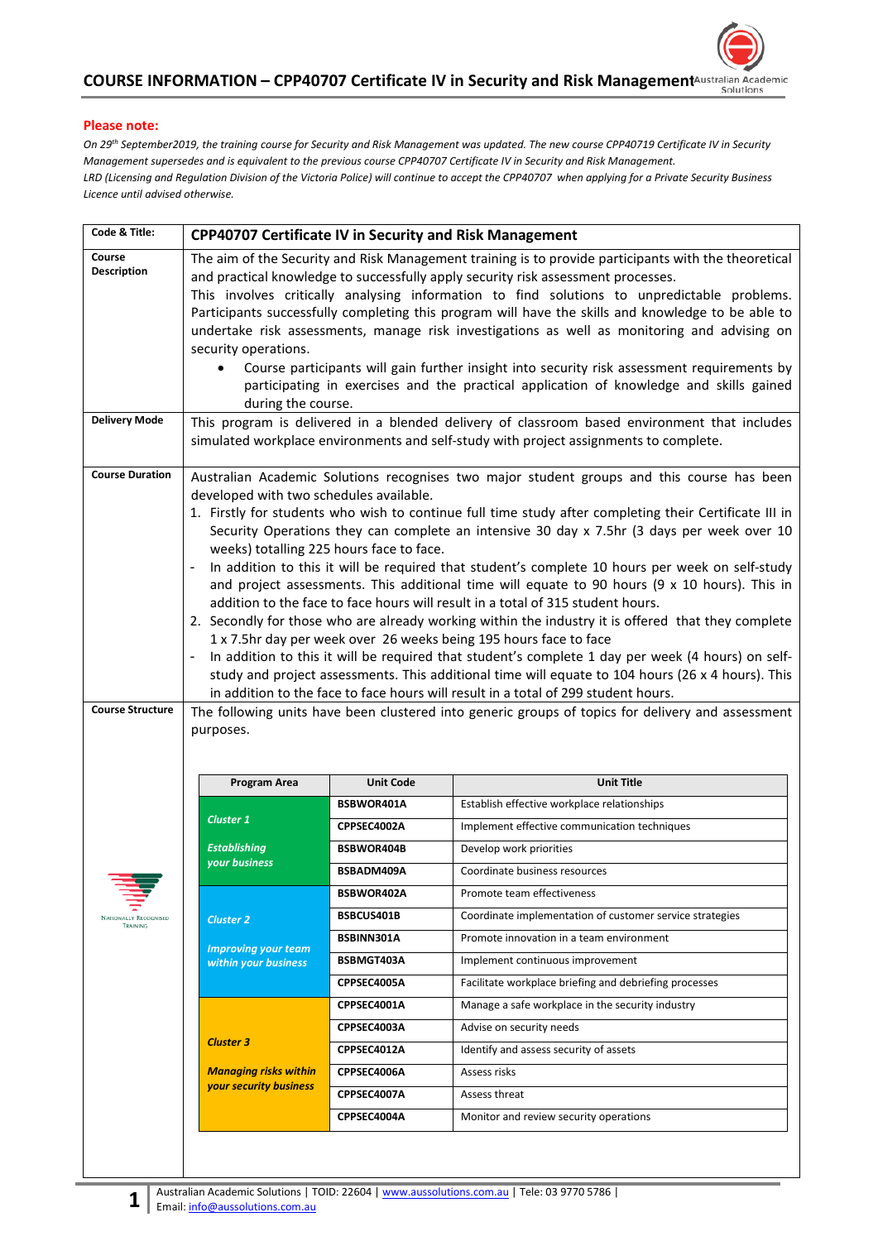

## **Please note:**

*On 29th September2019, the training course for Security and Risk Management was updated. The new course CPP40719 Certificate IV in Security Management supersedes and is equivalent to the previous course CPP40707 Certificate IV in Security and Risk Management. LRD (Licensing and Regulation Division of the Victoria Police) will continue to accept the CPP40707 when applying for a Private Security Business Licence until advised otherwise.* 

| security operations.<br>$\bullet$                                                                                                                                                                                                                                                                                                                                                                                                                                                                                                                                                                                                                                                                                                                                                                                                                                                                                                                                                                                                                                                                                                                                                                                                                                                                                                                              |                                                                                                                                                                                                                        | The aim of the Security and Risk Management training is to provide participants with the theoretical<br>This involves critically analysing information to find solutions to unpredictable problems.<br>Participants successfully completing this program will have the skills and knowledge to be able to<br>undertake risk assessments, manage risk investigations as well as monitoring and advising on<br>Course participants will gain further insight into security risk assessment requirements by<br>participating in exercises and the practical application of knowledge and skills gained |  |
|----------------------------------------------------------------------------------------------------------------------------------------------------------------------------------------------------------------------------------------------------------------------------------------------------------------------------------------------------------------------------------------------------------------------------------------------------------------------------------------------------------------------------------------------------------------------------------------------------------------------------------------------------------------------------------------------------------------------------------------------------------------------------------------------------------------------------------------------------------------------------------------------------------------------------------------------------------------------------------------------------------------------------------------------------------------------------------------------------------------------------------------------------------------------------------------------------------------------------------------------------------------------------------------------------------------------------------------------------------------|------------------------------------------------------------------------------------------------------------------------------------------------------------------------------------------------------------------------|-----------------------------------------------------------------------------------------------------------------------------------------------------------------------------------------------------------------------------------------------------------------------------------------------------------------------------------------------------------------------------------------------------------------------------------------------------------------------------------------------------------------------------------------------------------------------------------------------------|--|
|                                                                                                                                                                                                                                                                                                                                                                                                                                                                                                                                                                                                                                                                                                                                                                                                                                                                                                                                                                                                                                                                                                                                                                                                                                                                                                                                                                |                                                                                                                                                                                                                        | simulated workplace environments and self-study with project assignments to complete.                                                                                                                                                                                                                                                                                                                                                                                                                                                                                                               |  |
| <b>Course Duration</b><br>Australian Academic Solutions recognises two major student groups and this course has been<br>developed with two schedules available.<br>1. Firstly for students who wish to continue full time study after completing their Certificate III in<br>Security Operations they can complete an intensive 30 day x 7.5hr (3 days per week over 10<br>weeks) totalling 225 hours face to face.<br>In addition to this it will be required that student's complete 10 hours per week on self-study<br>and project assessments. This additional time will equate to 90 hours (9 x 10 hours). This in<br>addition to the face to face hours will result in a total of 315 student hours.<br>2. Secondly for those who are already working within the industry it is offered that they complete<br>1 x 7.5hr day per week over 26 weeks being 195 hours face to face<br>In addition to this it will be required that student's complete 1 day per week (4 hours) on self-<br>$\overline{\phantom{a}}$<br>study and project assessments. This additional time will equate to 104 hours (26 x 4 hours). This<br>in addition to the face to face hours will result in a total of 299 student hours.<br><b>Course Structure</b><br>The following units have been clustered into generic groups of topics for delivery and assessment<br>purposes. |                                                                                                                                                                                                                        |                                                                                                                                                                                                                                                                                                                                                                                                                                                                                                                                                                                                     |  |
|                                                                                                                                                                                                                                                                                                                                                                                                                                                                                                                                                                                                                                                                                                                                                                                                                                                                                                                                                                                                                                                                                                                                                                                                                                                                                                                                                                |                                                                                                                                                                                                                        | <b>Unit Title</b>                                                                                                                                                                                                                                                                                                                                                                                                                                                                                                                                                                                   |  |
| <b>Cluster 1</b><br><b>Establishing</b><br>your business<br><b>Cluster 2</b><br><b>Improving your team</b><br>within your business<br><b>Cluster 3</b><br><b>Managing risks within</b><br>your security business                                                                                                                                                                                                                                                                                                                                                                                                                                                                                                                                                                                                                                                                                                                                                                                                                                                                                                                                                                                                                                                                                                                                               | BSBWOR401A<br>CPPSEC4002A<br>BSBWOR404B<br>BSBADM409A<br>BSBWOR402A<br>BSBCUS401B<br>BSBINN301A<br>BSBMGT403A<br>CPPSEC4005A<br>CPPSEC4001A<br>CPPSEC4003A<br>CPPSEC4012A<br>CPPSEC4006A<br>CPPSEC4007A<br>CPPSEC4004A | Establish effective workplace relationships<br>Implement effective communication techniques<br>Develop work priorities<br>Coordinate business resources<br>Promote team effectiveness<br>Coordinate implementation of customer service strategies<br>Promote innovation in a team environment<br>Implement continuous improvement<br>Facilitate workplace briefing and debriefing processes<br>Manage a safe workplace in the security industry<br>Advise on security needs<br>Identify and assess security of assets<br>Assess risks<br>Assess threat<br>Monitor and review security operations    |  |
|                                                                                                                                                                                                                                                                                                                                                                                                                                                                                                                                                                                                                                                                                                                                                                                                                                                                                                                                                                                                                                                                                                                                                                                                                                                                                                                                                                | <b>Program Area</b>                                                                                                                                                                                                    | <b>CPP40707 Certificate IV in Security and Risk Management</b><br>and practical knowledge to successfully apply security risk assessment processes.<br>during the course.<br>This program is delivered in a blended delivery of classroom based environment that includes<br><b>Unit Code</b>                                                                                                                                                                                                                                                                                                       |  |